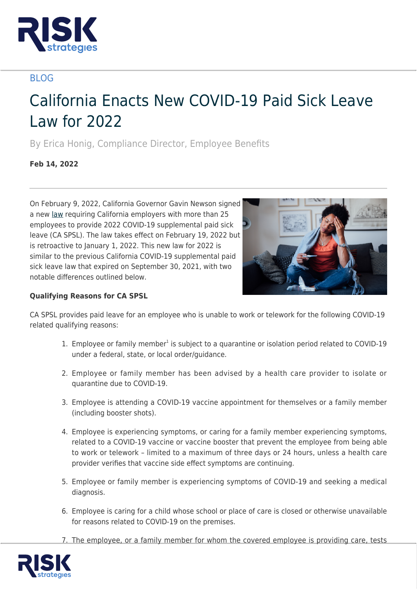

# BLOG

# California Enacts New COVID-19 Paid Sick Leave Law for 2022

By Erica Honig, Compliance Director, Employee Benefits

**Feb 14, 2022**

On February 9, 2022, California Governor Gavin Newson signed a new [law](https://leginfo.legislature.ca.gov/faces/billNavClient.xhtml?bill_id=202120220SB114) requiring California employers with more than 25 employees to provide 2022 COVID-19 supplemental paid sick leave (CA SPSL). The law takes effect on February 19, 2022 but is retroactive to January 1, 2022. This new law for 2022 is similar to the previous California COVID-19 supplemental paid sick leave law that expired on September 30, 2021, with two notable differences outlined below.



# **Qualifying Reasons for CA SPSL**

CA SPSL provides paid leave for an employee who is unable to work or telework for the following COVID-19 related qualifying reasons:

- 1. Employee or family member<sup>1</sup> is subject to a quarantine or isolation period related to COVID-19 under a federal, state, or local order/guidance.
- 2. Employee or family member has been advised by a health care provider to isolate or quarantine due to COVID-19.
- 3. Employee is attending a COVID-19 vaccine appointment for themselves or a family member (including booster shots).
- 4. Employee is experiencing symptoms, or caring for a family member experiencing symptoms, related to a COVID-19 vaccine or vaccine booster that prevent the employee from being able to work or telework – limited to a maximum of three days or 24 hours, unless a health care provider verifies that vaccine side effect symptoms are continuing.
- 5. Employee or family member is experiencing symptoms of COVID-19 and seeking a medical diagnosis.
- 6. Employee is caring for a child whose school or place of care is closed or otherwise unavailable for reasons related to COVID-19 on the premises.
- 7. The employee, or a family member for whom the covered employee is providing care, tests

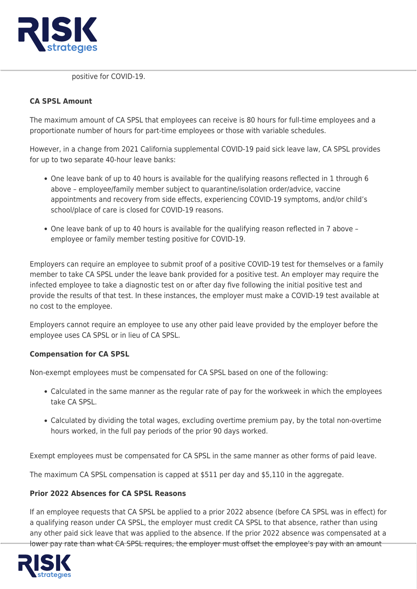

positive for COVID-19.

#### **CA SPSL Amount**

The maximum amount of CA SPSL that employees can receive is 80 hours for full-time employees and a proportionate number of hours for part-time employees or those with variable schedules.

However, in a change from 2021 California supplemental COVID-19 paid sick leave law, CA SPSL provides for up to two separate 40-hour leave banks:

- One leave bank of up to 40 hours is available for the qualifying reasons reflected in 1 through 6 above – employee/family member subject to quarantine/isolation order/advice, vaccine appointments and recovery from side effects, experiencing COVID-19 symptoms, and/or child's school/place of care is closed for COVID-19 reasons.
- One leave bank of up to 40 hours is available for the qualifying reason reflected in 7 above employee or family member testing positive for COVID-19.

Employers can require an employee to submit proof of a positive COVID-19 test for themselves or a family member to take CA SPSL under the leave bank provided for a positive test. An employer may require the infected employee to take a diagnostic test on or after day five following the initial positive test and provide the results of that test. In these instances, the employer must make a COVID-19 test available at no cost to the employee.

Employers cannot require an employee to use any other paid leave provided by the employer before the employee uses CA SPSL or in lieu of CA SPSL.

## **Compensation for CA SPSL**

Non-exempt employees must be compensated for CA SPSL based on one of the following:

- Calculated in the same manner as the regular rate of pay for the workweek in which the employees take CA SPSL.
- Calculated by dividing the total wages, excluding overtime premium pay, by the total non-overtime hours worked, in the full pay periods of the prior 90 days worked.

Exempt employees must be compensated for CA SPSL in the same manner as other forms of paid leave.

The maximum CA SPSL compensation is capped at \$511 per day and \$5,110 in the aggregate.

#### **Prior 2022 Absences for CA SPSL Reasons**

If an employee requests that CA SPSL be applied to a prior 2022 absence (before CA SPSL was in effect) for a qualifying reason under CA SPSL, the employer must credit CA SPSL to that absence, rather than using any other paid sick leave that was applied to the absence. If the prior 2022 absence was compensated at a lower pay rate than what CA SPSL requires, the employer must offset the employee's pay with an amount

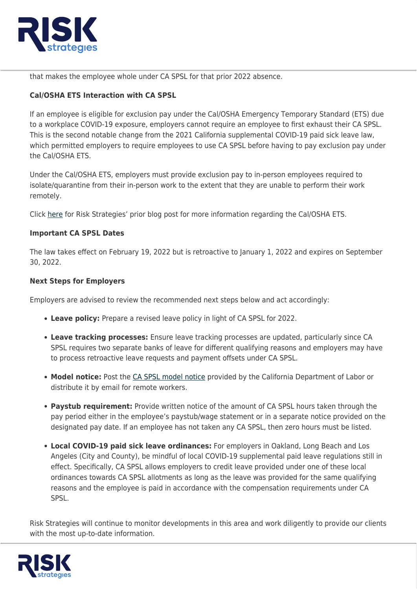

that makes the employee whole under CA SPSL for that prior 2022 absence.

# **Cal/OSHA ETS Interaction with CA SPSL**

If an employee is eligible for exclusion pay under the Cal/OSHA Emergency Temporary Standard (ETS) due to a workplace COVID-19 exposure, employers cannot require an employee to first exhaust their CA SPSL. This is the second notable change from the 2021 California supplemental COVID-19 paid sick leave law, which permitted employers to require employees to use CA SPSL before having to pay exclusion pay under the Cal/OSHA ETS.

Under the Cal/OSHA ETS, employers must provide exclusion pay to in-person employees required to isolate/quarantine from their in-person work to the extent that they are unable to perform their work remotely.

Click [here](https://www.risk-strategies.com/knowledge-center/article/california-osha-ets-in-effect-through-april-14-2022) for Risk Strategies' prior blog post for more information regarding the Cal/OSHA ETS.

### **Important CA SPSL Dates**

The law takes effect on February 19, 2022 but is retroactive to January 1, 2022 and expires on September 30, 2022.

### **Next Steps for Employers**

Employers are advised to review the recommended next steps below and act accordingly:

- **Leave policy:** Prepare a revised leave policy in light of CA SPSL for 2022.
- **Leave tracking processes:** Ensure leave tracking processes are updated, particularly since CA SPSL requires two separate banks of leave for different qualifying reasons and employers may have to process retroactive leave requests and payment offsets under CA SPSL.
- Model notice: Post the [CA SPSL model notice](https://www.dir.ca.gov/dlse/COVID19resources/2022-COVID-19-SPSL-Poster.pdf) provided by the California Department of Labor or distribute it by email for remote workers.
- **Paystub requirement:** Provide written notice of the amount of CA SPSL hours taken through the pay period either in the employee's paystub/wage statement or in a separate notice provided on the designated pay date. If an employee has not taken any CA SPSL, then zero hours must be listed.
- **Local COVID-19 paid sick leave ordinances:** For employers in Oakland, Long Beach and Los Angeles (City and County), be mindful of local COVID-19 supplemental paid leave regulations still in effect. Specifically, CA SPSL allows employers to credit leave provided under one of these local ordinances towards CA SPSL allotments as long as the leave was provided for the same qualifying reasons and the employee is paid in accordance with the compensation requirements under CA SPSL.

Risk Strategies will continue to monitor developments in this area and work diligently to provide our clients with the most up-to-date information.